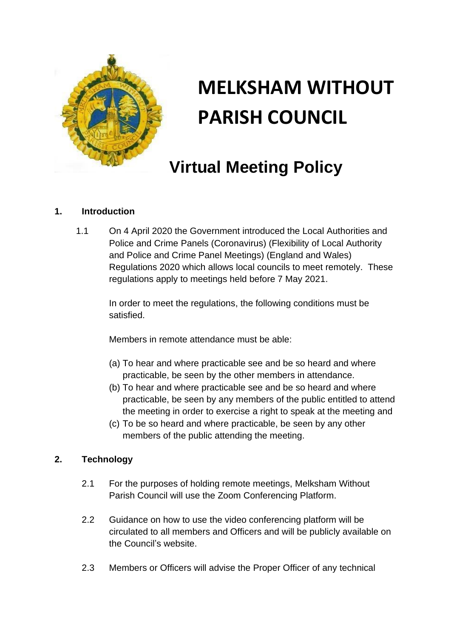

# **MELKSHAM WITHOUT PARISH COUNCIL**

# **Virtual Meeting Policy**

# **1. Introduction**

1.1 On 4 April 2020 the Government introduced the Local Authorities and Police and Crime Panels (Coronavirus) (Flexibility of Local Authority and Police and Crime Panel Meetings) (England and Wales) Regulations 2020 which allows local councils to meet remotely. These regulations apply to meetings held before 7 May 2021.

> In order to meet the regulations, the following conditions must be satisfied.

Members in remote attendance must be able:

- (a) To hear and where practicable see and be so heard and where practicable, be seen by the other members in attendance.
- (b) To hear and where practicable see and be so heard and where practicable, be seen by any members of the public entitled to attend the meeting in order to exercise a right to speak at the meeting and
- (c) To be so heard and where practicable, be seen by any other members of the public attending the meeting.

### **2. Technology**

- 2.1 For the purposes of holding remote meetings, Melksham Without Parish Council will use the Zoom Conferencing Platform.
- 2.2 Guidance on how to use the video conferencing platform will be circulated to all members and Officers and will be publicly available on the Council's website.
- 2.3 Members or Officers will advise the Proper Officer of any technical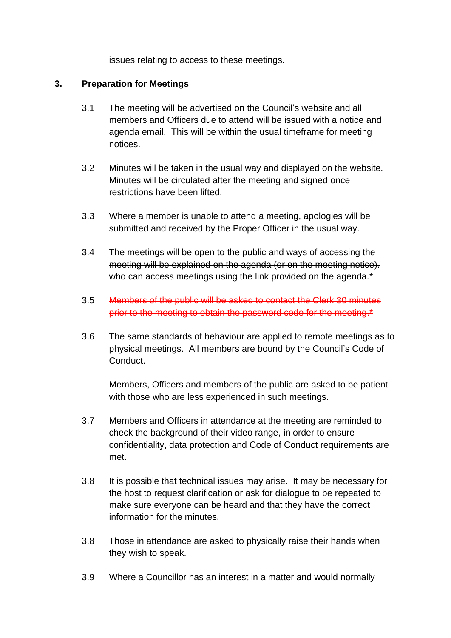issues relating to access to these meetings.

#### **3. Preparation for Meetings**

- 3.1 The meeting will be advertised on the Council's website and all members and Officers due to attend will be issued with a notice and agenda email. This will be within the usual timeframe for meeting notices.
- 3.2 Minutes will be taken in the usual way and displayed on the website. Minutes will be circulated after the meeting and signed once restrictions have been lifted.
- 3.3 Where a member is unable to attend a meeting, apologies will be submitted and received by the Proper Officer in the usual way.
- 3.4 The meetings will be open to the public and ways of accessing the meeting will be explained on the agenda (or on the meeting notice). who can access meetings using the link provided on the agenda.<sup>\*</sup>
- 3.5 Members of the public will be asked to contact the Clerk 30 minutes prior to the meeting to obtain the password code for the meeting.\*
- 3.6 The same standards of behaviour are applied to remote meetings as to physical meetings. All members are bound by the Council's Code of **Conduct**

Members, Officers and members of the public are asked to be patient with those who are less experienced in such meetings.

- 3.7 Members and Officers in attendance at the meeting are reminded to check the background of their video range, in order to ensure confidentiality, data protection and Code of Conduct requirements are met.
- 3.8 It is possible that technical issues may arise. It may be necessary for the host to request clarification or ask for dialogue to be repeated to make sure everyone can be heard and that they have the correct information for the minutes.
- 3.8 Those in attendance are asked to physically raise their hands when they wish to speak.
- 3.9 Where a Councillor has an interest in a matter and would normally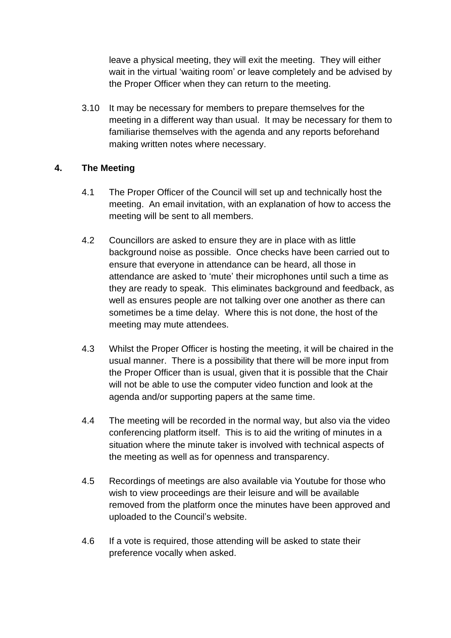leave a physical meeting, they will exit the meeting. They will either wait in the virtual 'waiting room' or leave completely and be advised by the Proper Officer when they can return to the meeting.

3.10 It may be necessary for members to prepare themselves for the meeting in a different way than usual. It may be necessary for them to familiarise themselves with the agenda and any reports beforehand making written notes where necessary.

#### **4. The Meeting**

- 4.1 The Proper Officer of the Council will set up and technically host the meeting. An email invitation, with an explanation of how to access the meeting will be sent to all members.
- 4.2 Councillors are asked to ensure they are in place with as little background noise as possible. Once checks have been carried out to ensure that everyone in attendance can be heard, all those in attendance are asked to 'mute' their microphones until such a time as they are ready to speak. This eliminates background and feedback, as well as ensures people are not talking over one another as there can sometimes be a time delay. Where this is not done, the host of the meeting may mute attendees.
- 4.3 Whilst the Proper Officer is hosting the meeting, it will be chaired in the usual manner. There is a possibility that there will be more input from the Proper Officer than is usual, given that it is possible that the Chair will not be able to use the computer video function and look at the agenda and/or supporting papers at the same time.
- 4.4 The meeting will be recorded in the normal way, but also via the video conferencing platform itself. This is to aid the writing of minutes in a situation where the minute taker is involved with technical aspects of the meeting as well as for openness and transparency.
- 4.5 Recordings of meetings are also available via Youtube for those who wish to view proceedings are their leisure and will be available removed from the platform once the minutes have been approved and uploaded to the Council's website.
- 4.6 If a vote is required, those attending will be asked to state their preference vocally when asked.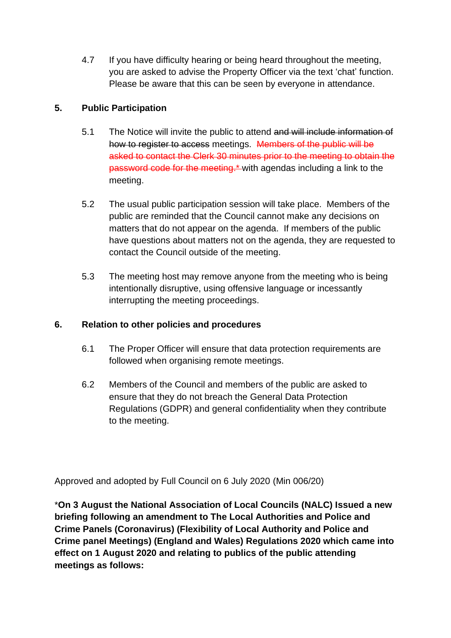4.7 If you have difficulty hearing or being heard throughout the meeting, you are asked to advise the Property Officer via the text 'chat' function. Please be aware that this can be seen by everyone in attendance.

# **5. Public Participation**

- 5.1 The Notice will invite the public to attend and will include information of how to register to access meetings. Members of the public will be asked to contact the Clerk 30 minutes prior to the meeting to obtain the password code for the meeting.\* with agendas including a link to the meeting.
- 5.2 The usual public participation session will take place. Members of the public are reminded that the Council cannot make any decisions on matters that do not appear on the agenda. If members of the public have questions about matters not on the agenda, they are requested to contact the Council outside of the meeting.
- 5.3 The meeting host may remove anyone from the meeting who is being intentionally disruptive, using offensive language or incessantly interrupting the meeting proceedings.

## **6. Relation to other policies and procedures**

- 6.1 The Proper Officer will ensure that data protection requirements are followed when organising remote meetings.
- 6.2 Members of the Council and members of the public are asked to ensure that they do not breach the General Data Protection Regulations (GDPR) and general confidentiality when they contribute to the meeting.

Approved and adopted by Full Council on 6 July 2020 (Min 006/20)

\***On 3 August the National Association of Local Councils (NALC) Issued a new briefing following an amendment to The Local Authorities and Police and Crime Panels (Coronavirus) (Flexibility of Local Authority and Police and Crime panel Meetings) (England and Wales) Regulations 2020 which came into effect on 1 August 2020 and relating to publics of the public attending meetings as follows:**